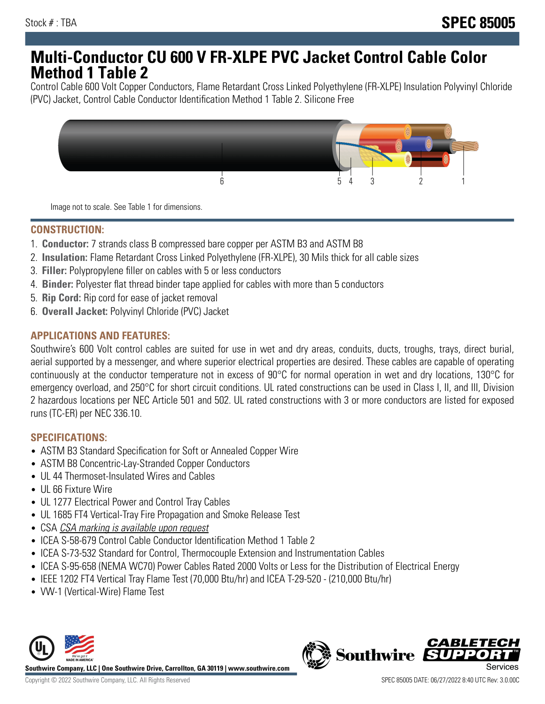## **Multi-Conductor CU 600 V FR-XLPE PVC Jacket Control Cable Color Method 1 Table 2**

Control Cable 600 Volt Copper Conductors, Flame Retardant Cross Linked Polyethylene (FR-XLPE) Insulation Polyvinyl Chloride (PVC) Jacket, Control Cable Conductor Identification Method 1 Table 2. Silicone Free



Image not to scale. See Table 1 for dimensions.

## **CONSTRUCTION:**

- 1. **Conductor:** 7 strands class B compressed bare copper per ASTM B3 and ASTM B8
- 2. **Insulation:** Flame Retardant Cross Linked Polyethylene (FR-XLPE), 30 Mils thick for all cable sizes
- 3. **Filler:** Polypropylene filler on cables with 5 or less conductors
- 4. **Binder:** Polyester flat thread binder tape applied for cables with more than 5 conductors
- 5. **Rip Cord:** Rip cord for ease of jacket removal
- 6. **Overall Jacket:** Polyvinyl Chloride (PVC) Jacket

#### **APPLICATIONS AND FEATURES:**

Southwire's 600 Volt control cables are suited for use in wet and dry areas, conduits, ducts, troughs, trays, direct burial, aerial supported by a messenger, and where superior electrical properties are desired. These cables are capable of operating continuously at the conductor temperature not in excess of 90°C for normal operation in wet and dry locations, 130°C for emergency overload, and 250°C for short circuit conditions. UL rated constructions can be used in Class I, II, and III, Division 2 hazardous locations per NEC Article 501 and 502. UL rated constructions with 3 or more conductors are listed for exposed runs (TC-ER) per NEC 336.10.

#### **SPECIFICATIONS:**

- ASTM B3 Standard Specification for Soft or Annealed Copper Wire
- ASTM B8 Concentric-Lay-Stranded Copper Conductors
- UL 44 Thermoset-Insulated Wires and Cables
- UL 66 Fixture Wire
- UL 1277 Electrical Power and Control Tray Cables
- UL 1685 FT4 Vertical-Tray Fire Propagation and Smoke Release Test
- CSA CSA marking is available upon request
- ICEA S-58-679 Control Cable Conductor Identification Method 1 Table 2
- ICEA S-73-532 Standard for Control, Thermocouple Extension and Instrumentation Cables
- ICEA S-95-658 (NEMA WC70) Power Cables Rated 2000 Volts or Less for the Distribution of Electrical Energy
- IEEE 1202 FT4 Vertical Tray Flame Test (70,000 Btu/hr) and ICEA T-29-520 (210,000 Btu/hr)
- VW-1 (Vertical-Wire) Flame Test



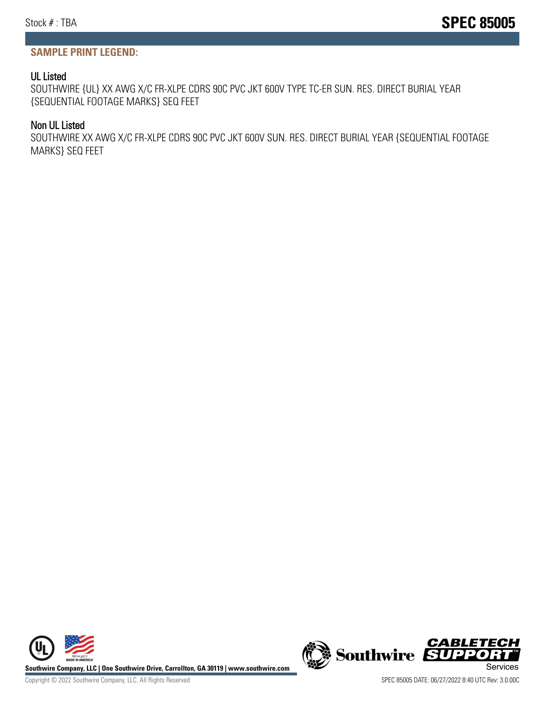#### **SAMPLE PRINT LEGEND:**

#### UL Listed

SOUTHWIRE {UL} XX AWG X/C FR-XLPE CDRS 90C PVC JKT 600V TYPE TC-ER SUN. RES. DIRECT BURIAL YEAR {SEQUENTIAL FOOTAGE MARKS} SEQ FEET

#### Non UL Listed

SOUTHWIRE XX AWG X/C FR-XLPE CDRS 90C PVC JKT 600V SUN. RES. DIRECT BURIAL YEAR {SEQUENTIAL FOOTAGE MARKS} SEQ FEET





Copyright © 2022 Southwire Company, LLC. All Rights Reserved SPEC 85005 DATE: 06/27/2022 8:40 UTC Rev: 3.0.00C